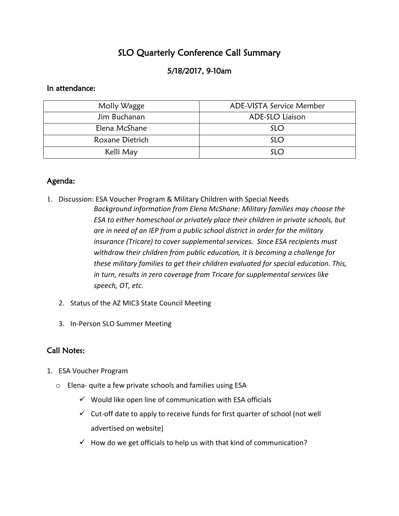# SLO Quarterly Conference Call Summary

# 5/18/2017, 9-10am

#### In attendance:

| Molly Wagge     | ADE-VISTA Service Member |
|-----------------|--------------------------|
| Jim Buchanan    | ADE-SLO Liaison          |
| Elena McShane   | <b>SLO</b>               |
| Roxane Dietrich | <b>SLO</b>               |
| Kelli May       | SLO                      |

### Agenda:

- 1. Discussion: ESA Voucher Program & Military Children with Special Needs *Background information from Elena McShane: Military families may choose the ESA to either homeschool or privately place their children in private schools, but are in need of an IEP from a public school district in order for the military insurance (Tricare) to cover supplemental services. Since ESA recipients must withdraw their children from public education, it is becoming a challenge for these military families to get their children evaluated for special education. This, in turn, results in zero coverage from Tricare for supplemental services like speech, OT, etc.* 
	- 2. Status of the AZ MIC3 State Council Meeting
	- 3. In-Person SLO Summer Meeting

## Call Notes:

- 1. ESA Voucher Program
	- o Elena- quite a few private schools and families using ESA
		- $\checkmark$  Would like open line of communication with ESA officials
		- $\checkmark$  Cut-off date to apply to receive funds for first quarter of school (not well advertised on website)
		- $\checkmark$  How do we get officials to help us with that kind of communication?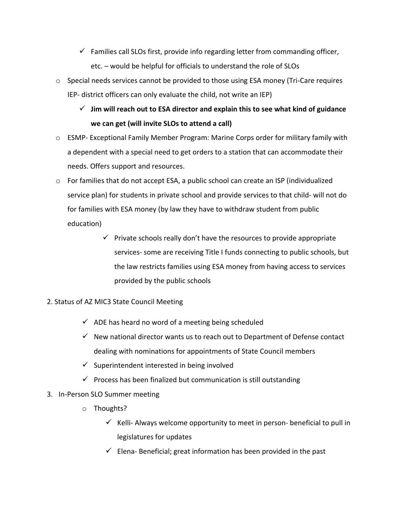- $\checkmark$  Families call SLOs first, provide info regarding letter from commanding officer, etc. – would be helpful for officials to understand the role of SLOs
- $\circ$  Special needs services cannot be provided to those using ESA money (Tri-Care requires IEP- district officers can only evaluate the child, not write an IEP)
	- $\checkmark$  Jim will reach out to ESA director and explain this to see what kind of guidance **we can get (will invite SLOs to attend a call)**
- o ESMP- Exceptional Family Member Program: Marine Corps order for military family with a dependent with a special need to get orders to a station that can accommodate their needs. Offers support and resources.
- $\circ$  For families that do not accept ESA, a public school can create an ISP (individualized service plan) for students in private school and provide services to that child- will not do for families with ESA money (by law they have to withdraw student from public education)
	- $\checkmark$  Private schools really don't have the resources to provide appropriate services- some are receiving Title I funds connecting to public schools, but the law restricts families using ESA money from having access to services provided by the public schools
- 2. Status of AZ MIC3 State Council Meeting
	- $\checkmark$  ADE has heard no word of a meeting being scheduled
	- $\checkmark$  New national director wants us to reach out to Department of Defense contact dealing with nominations for appointments of State Council members
	- $\checkmark$  Superintendent interested in being involved
	- $\checkmark$  Process has been finalized but communication is still outstanding
- 3. In-Person SLO Summer meeting
	- o Thoughts?
		- $\checkmark$  Kelli- Always welcome opportunity to meet in person- beneficial to pull in legislatures for updates
		- $\checkmark$  Elena- Beneficial; great information has been provided in the past